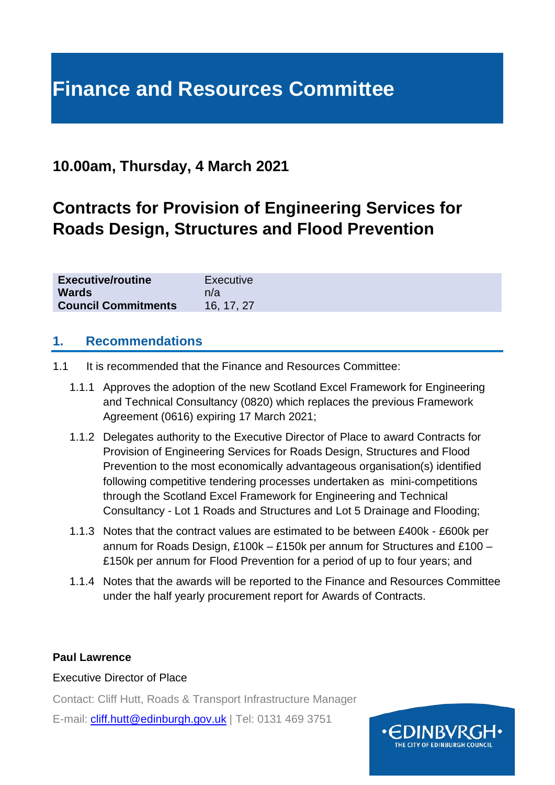# **Finance and Resources Committee**

# **10.00am, Thursday, 4 March 2021**

# **Contracts for Provision of Engineering Services for Roads Design, Structures and Flood Prevention**

| <b>Executive/routine</b>   | Executive  |
|----------------------------|------------|
| <b>Wards</b>               | n/a        |
| <b>Council Commitments</b> | 16, 17, 27 |

#### **1. Recommendations**

- 1.1 It is recommended that the Finance and Resources Committee:
	- 1.1.1 Approves the adoption of the new Scotland Excel Framework for Engineering and Technical Consultancy (0820) which replaces the previous Framework Agreement (0616) expiring 17 March 2021;
	- 1.1.2 Delegates authority to the Executive Director of Place to award Contracts for Provision of Engineering Services for Roads Design, Structures and Flood Prevention to the most economically advantageous organisation(s) identified following competitive tendering processes undertaken as mini-competitions through the Scotland Excel Framework for Engineering and Technical Consultancy - Lot 1 Roads and Structures and Lot 5 Drainage and Flooding;
	- 1.1.3 Notes that the contract values are estimated to be between £400k £600k per annum for Roads Design, £100k – £150k per annum for Structures and £100 – £150k per annum for Flood Prevention for a period of up to four years; and
	- 1.1.4 Notes that the awards will be reported to the Finance and Resources Committee under the half yearly procurement report for Awards of Contracts.

#### **Paul Lawrence**

#### Executive Director of Place

Contact: Cliff Hutt, Roads & Transport Infrastructure Manager

E-mail: [cliff.hutt@edinburgh.gov.uk](mailto:cliff.hutt@edinburgh.gov.uk) | Tel: 0131 469 3751

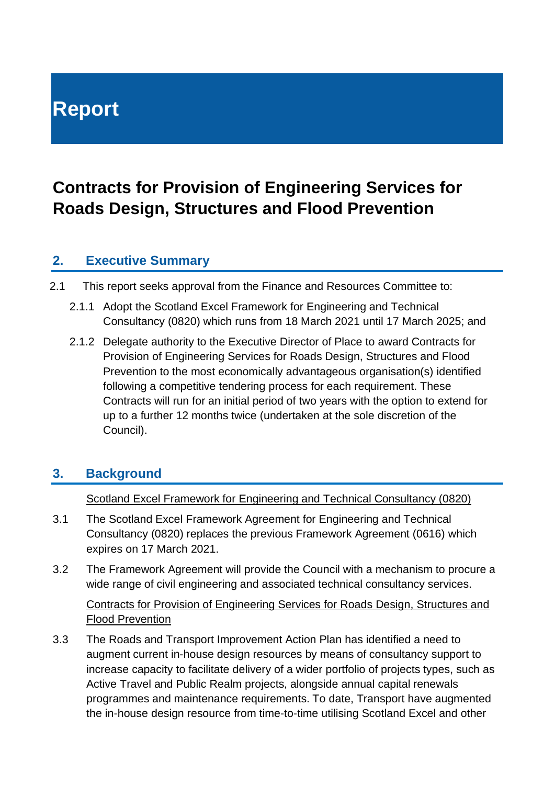# **Report**

# **Contracts for Provision of Engineering Services for Roads Design, Structures and Flood Prevention**

#### **2. Executive Summary**

- 2.1 This report seeks approval from the Finance and Resources Committee to:
	- 2.1.1 Adopt the Scotland Excel Framework for Engineering and Technical Consultancy (0820) which runs from 18 March 2021 until 17 March 2025; and
	- 2.1.2 Delegate authority to the Executive Director of Place to award Contracts for Provision of Engineering Services for Roads Design, Structures and Flood Prevention to the most economically advantageous organisation(s) identified following a competitive tendering process for each requirement. These Contracts will run for an initial period of two years with the option to extend for up to a further 12 months twice (undertaken at the sole discretion of the Council).

## **3. Background**

Scotland Excel Framework for Engineering and Technical Consultancy (0820)

- 3.1 The Scotland Excel Framework Agreement for Engineering and Technical Consultancy (0820) replaces the previous Framework Agreement (0616) which expires on 17 March 2021.
- 3.2 The Framework Agreement will provide the Council with a mechanism to procure a wide range of civil engineering and associated technical consultancy services.

#### Contracts for Provision of Engineering Services for Roads Design, Structures and Flood Prevention

3.3 The Roads and Transport Improvement Action Plan has identified a need to augment current in-house design resources by means of consultancy support to increase capacity to facilitate delivery of a wider portfolio of projects types, such as Active Travel and Public Realm projects, alongside annual capital renewals programmes and maintenance requirements. To date, Transport have augmented the in-house design resource from time-to-time utilising Scotland Excel and other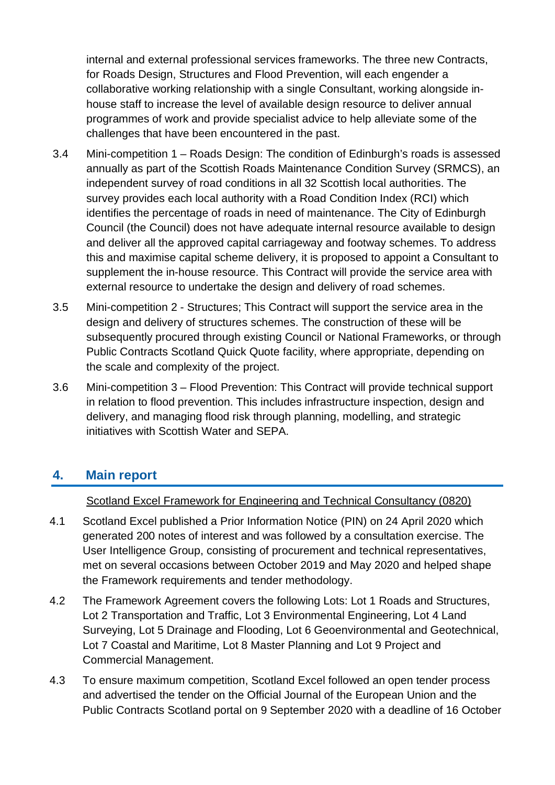internal and external professional services frameworks. The three new Contracts, for Roads Design, Structures and Flood Prevention, will each engender a collaborative working relationship with a single Consultant, working alongside inhouse staff to increase the level of available design resource to deliver annual programmes of work and provide specialist advice to help alleviate some of the challenges that have been encountered in the past.

- 3.4 Mini-competition 1 Roads Design: The condition of Edinburgh's roads is assessed annually as part of the Scottish Roads Maintenance Condition Survey (SRMCS), an independent survey of road conditions in all 32 Scottish local authorities. The survey provides each local authority with a Road Condition Index (RCI) which identifies the percentage of roads in need of maintenance. The City of Edinburgh Council (the Council) does not have adequate internal resource available to design and deliver all the approved capital carriageway and footway schemes. To address this and maximise capital scheme delivery, it is proposed to appoint a Consultant to supplement the in-house resource. This Contract will provide the service area with external resource to undertake the design and delivery of road schemes.
- 3.5 Mini-competition 2 Structures; This Contract will support the service area in the design and delivery of structures schemes. The construction of these will be subsequently procured through existing Council or National Frameworks, or through Public Contracts Scotland Quick Quote facility, where appropriate, depending on the scale and complexity of the project.
- 3.6 Mini-competition 3 Flood Prevention: This Contract will provide technical support in relation to flood prevention. This includes infrastructure inspection, design and delivery, and managing flood risk through planning, modelling, and strategic initiatives with Scottish Water and SEPA.

#### **4. Main report**

Scotland Excel Framework for Engineering and Technical Consultancy (0820)

- 4.1 Scotland Excel published a Prior Information Notice (PIN) on 24 April 2020 which generated 200 notes of interest and was followed by a consultation exercise. The User Intelligence Group, consisting of procurement and technical representatives, met on several occasions between October 2019 and May 2020 and helped shape the Framework requirements and tender methodology.
- 4.2 The Framework Agreement covers the following Lots: Lot 1 Roads and Structures, Lot 2 Transportation and Traffic, Lot 3 Environmental Engineering, Lot 4 Land Surveying, Lot 5 Drainage and Flooding, Lot 6 Geoenvironmental and Geotechnical, Lot 7 Coastal and Maritime, Lot 8 Master Planning and Lot 9 Project and Commercial Management.
- 4.3 To ensure maximum competition, Scotland Excel followed an open tender process and advertised the tender on the Official Journal of the European Union and the Public Contracts Scotland portal on 9 September 2020 with a deadline of 16 October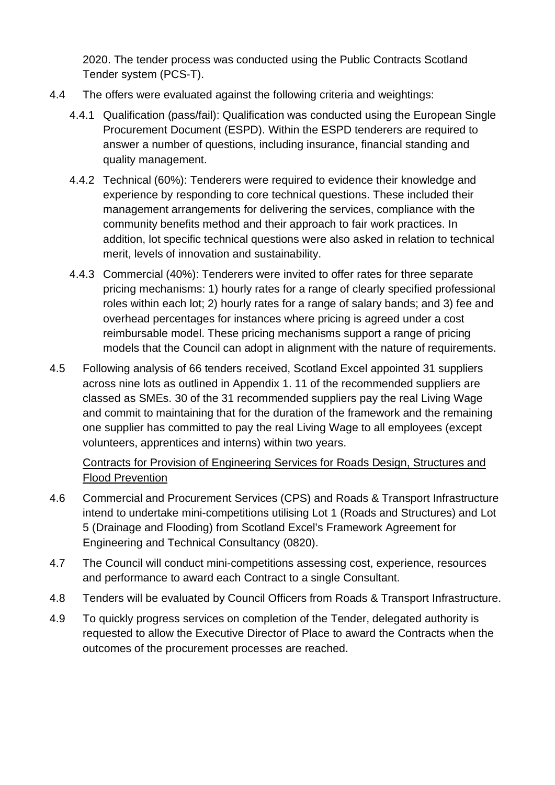2020. The tender process was conducted using the Public Contracts Scotland Tender system (PCS-T).

- 4.4 The offers were evaluated against the following criteria and weightings:
	- 4.4.1 Qualification (pass/fail): Qualification was conducted using the European Single Procurement Document (ESPD). Within the ESPD tenderers are required to answer a number of questions, including insurance, financial standing and quality management.
	- 4.4.2 Technical (60%): Tenderers were required to evidence their knowledge and experience by responding to core technical questions. These included their management arrangements for delivering the services, compliance with the community benefits method and their approach to fair work practices. In addition, lot specific technical questions were also asked in relation to technical merit, levels of innovation and sustainability.
	- 4.4.3 Commercial (40%): Tenderers were invited to offer rates for three separate pricing mechanisms: 1) hourly rates for a range of clearly specified professional roles within each lot; 2) hourly rates for a range of salary bands; and 3) fee and overhead percentages for instances where pricing is agreed under a cost reimbursable model. These pricing mechanisms support a range of pricing models that the Council can adopt in alignment with the nature of requirements.
- 4.5 Following analysis of 66 tenders received, Scotland Excel appointed 31 suppliers across nine lots as outlined in Appendix 1. 11 of the recommended suppliers are classed as SMEs. 30 of the 31 recommended suppliers pay the real Living Wage and commit to maintaining that for the duration of the framework and the remaining one supplier has committed to pay the real Living Wage to all employees (except volunteers, apprentices and interns) within two years.

#### Contracts for Provision of Engineering Services for Roads Design, Structures and Flood Prevention

- 4.6 Commercial and Procurement Services (CPS) and Roads & Transport Infrastructure intend to undertake mini-competitions utilising Lot 1 (Roads and Structures) and Lot 5 (Drainage and Flooding) from Scotland Excel's Framework Agreement for Engineering and Technical Consultancy (0820).
- 4.7 The Council will conduct mini-competitions assessing cost, experience, resources and performance to award each Contract to a single Consultant.
- 4.8 Tenders will be evaluated by Council Officers from Roads & Transport Infrastructure.
- 4.9 To quickly progress services on completion of the Tender, delegated authority is requested to allow the Executive Director of Place to award the Contracts when the outcomes of the procurement processes are reached.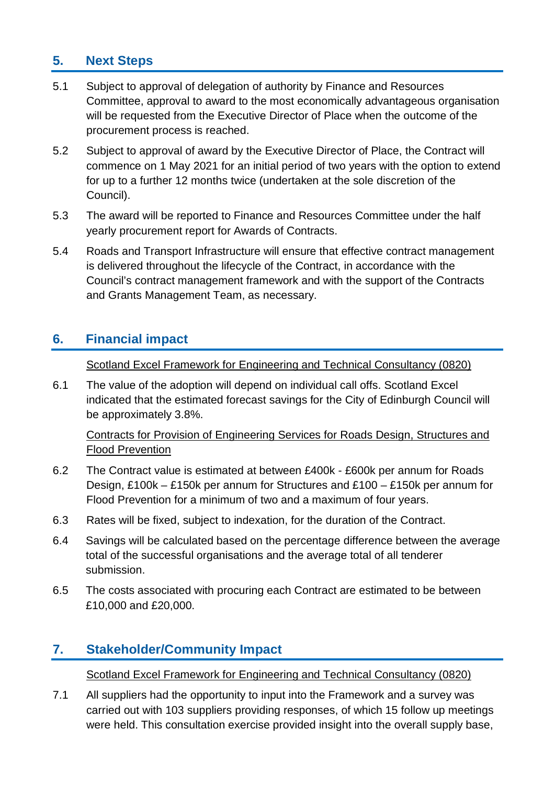## **5. Next Steps**

- 5.1 Subject to approval of delegation of authority by Finance and Resources Committee, approval to award to the most economically advantageous organisation will be requested from the Executive Director of Place when the outcome of the procurement process is reached.
- 5.2 Subject to approval of award by the Executive Director of Place, the Contract will commence on 1 May 2021 for an initial period of two years with the option to extend for up to a further 12 months twice (undertaken at the sole discretion of the Council).
- 5.3 The award will be reported to Finance and Resources Committee under the half yearly procurement report for Awards of Contracts.
- 5.4 Roads and Transport Infrastructure will ensure that effective contract management is delivered throughout the lifecycle of the Contract, in accordance with the Council's contract management framework and with the support of the Contracts and Grants Management Team, as necessary.

## **6. Financial impact**

Scotland Excel Framework for Engineering and Technical Consultancy (0820)

6.1 The value of the adoption will depend on individual call offs. Scotland Excel indicated that the estimated forecast savings for the City of Edinburgh Council will be approximately 3.8%.

Contracts for Provision of Engineering Services for Roads Design, Structures and Flood Prevention

- 6.2 The Contract value is estimated at between £400k £600k per annum for Roads Design, £100k – £150k per annum for Structures and £100 – £150k per annum for Flood Prevention for a minimum of two and a maximum of four years.
- 6.3 Rates will be fixed, subject to indexation, for the duration of the Contract.
- 6.4 Savings will be calculated based on the percentage difference between the average total of the successful organisations and the average total of all tenderer submission.
- 6.5 The costs associated with procuring each Contract are estimated to be between £10,000 and £20,000.

#### **7. Stakeholder/Community Impact**

Scotland Excel Framework for Engineering and Technical Consultancy (0820)

7.1 All suppliers had the opportunity to input into the Framework and a survey was carried out with 103 suppliers providing responses, of which 15 follow up meetings were held. This consultation exercise provided insight into the overall supply base,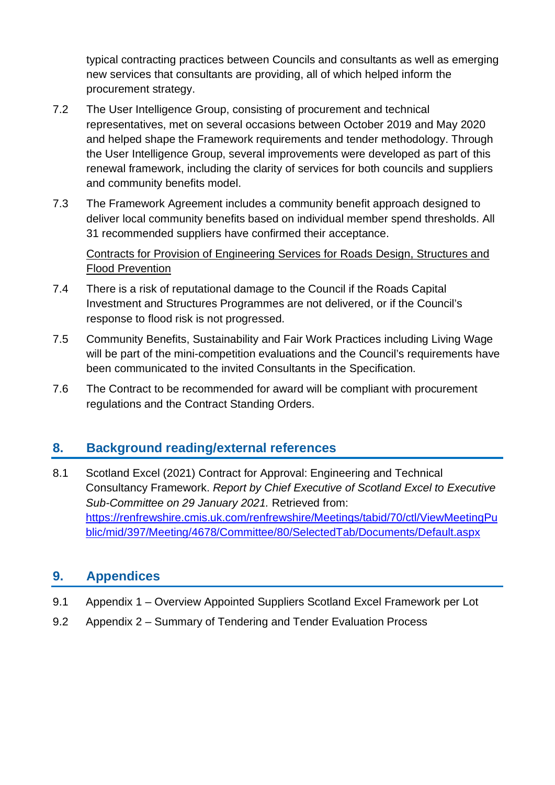typical contracting practices between Councils and consultants as well as emerging new services that consultants are providing, all of which helped inform the procurement strategy.

- 7.2 The User Intelligence Group, consisting of procurement and technical representatives, met on several occasions between October 2019 and May 2020 and helped shape the Framework requirements and tender methodology. Through the User Intelligence Group, several improvements were developed as part of this renewal framework, including the clarity of services for both councils and suppliers and community benefits model.
- 7.3 The Framework Agreement includes a community benefit approach designed to deliver local community benefits based on individual member spend thresholds. All 31 recommended suppliers have confirmed their acceptance.

Contracts for Provision of Engineering Services for Roads Design, Structures and Flood Prevention

- 7.4 There is a risk of reputational damage to the Council if the Roads Capital Investment and Structures Programmes are not delivered, or if the Council's response to flood risk is not progressed.
- 7.5 Community Benefits, Sustainability and Fair Work Practices including Living Wage will be part of the mini-competition evaluations and the Council's requirements have been communicated to the invited Consultants in the Specification.
- 7.6 The Contract to be recommended for award will be compliant with procurement regulations and the Contract Standing Orders.

## **8. Background reading/external references**

8.1 Scotland Excel (2021) Contract for Approval: Engineering and Technical Consultancy Framework. *Report by Chief Executive of Scotland Excel to Executive Sub-Committee on 29 January 2021.* Retrieved from: [https://renfrewshire.cmis.uk.com/renfrewshire/Meetings/tabid/70/ctl/ViewMeetingPu](https://renfrewshire.cmis.uk.com/renfrewshire/Meetings/tabid/70/ctl/ViewMeetingPublic/mid/397/Meeting/4678/Committee/80/SelectedTab/Documents/Default.aspx) [blic/mid/397/Meeting/4678/Committee/80/SelectedTab/Documents/Default.aspx](https://renfrewshire.cmis.uk.com/renfrewshire/Meetings/tabid/70/ctl/ViewMeetingPublic/mid/397/Meeting/4678/Committee/80/SelectedTab/Documents/Default.aspx)

#### **9. Appendices**

- 9.1 Appendix 1 Overview Appointed Suppliers Scotland Excel Framework per Lot
- 9.2 Appendix 2 Summary of Tendering and Tender Evaluation Process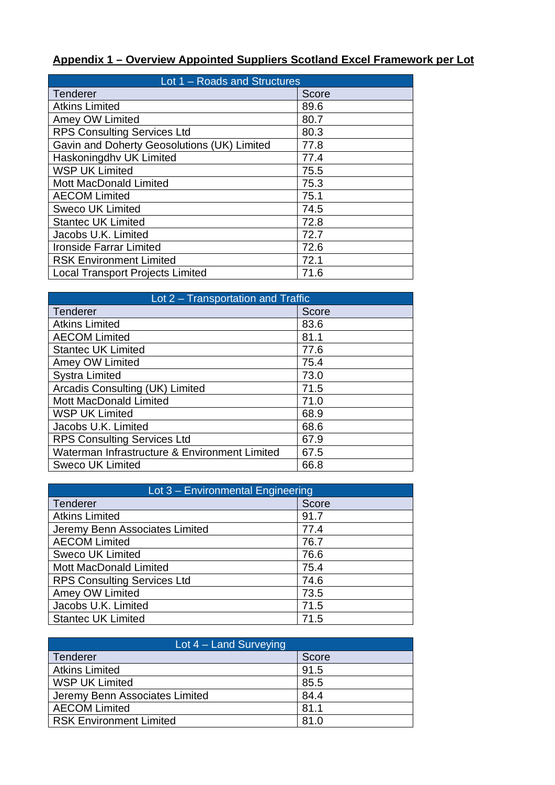# **Appendix 1 – Overview Appointed Suppliers Scotland Excel Framework per Lot**

| Lot $1 -$ Roads and Structures              |              |  |
|---------------------------------------------|--------------|--|
| <b>Tenderer</b>                             | <b>Score</b> |  |
| <b>Atkins Limited</b>                       | 89.6         |  |
| Amey OW Limited                             | 80.7         |  |
| <b>RPS Consulting Services Ltd</b>          | 80.3         |  |
| Gavin and Doherty Geosolutions (UK) Limited | 77.8         |  |
| Haskoningdhv UK Limited                     | 77.4         |  |
| <b>WSP UK Limited</b>                       | 75.5         |  |
| <b>Mott MacDonald Limited</b>               | 75.3         |  |
| <b>AECOM Limited</b>                        | 75.1         |  |
| <b>Sweco UK Limited</b>                     | 74.5         |  |
| <b>Stantec UK Limited</b>                   | 72.8         |  |
| Jacobs U.K. Limited                         | 72.7         |  |
| <b>Ironside Farrar Limited</b>              | 72.6         |  |
| <b>RSK Environment Limited</b>              | 72.1         |  |
| <b>Local Transport Projects Limited</b>     | 71.6         |  |

| Lot 2 – Transportation and Traffic            |       |
|-----------------------------------------------|-------|
| <b>Tenderer</b>                               | Score |
| <b>Atkins Limited</b>                         | 83.6  |
| <b>AECOM Limited</b>                          | 81.1  |
| <b>Stantec UK Limited</b>                     | 77.6  |
| Amey OW Limited                               | 75.4  |
| <b>Systra Limited</b>                         | 73.0  |
| Arcadis Consulting (UK) Limited               | 71.5  |
| <b>Mott MacDonald Limited</b>                 | 71.0  |
| <b>WSP UK Limited</b>                         | 68.9  |
| Jacobs U.K. Limited                           | 68.6  |
| <b>RPS Consulting Services Ltd</b>            | 67.9  |
| Waterman Infrastructure & Environment Limited | 67.5  |
| <b>Sweco UK Limited</b>                       | 66.8  |

| Lot 3 - Environmental Engineering  |       |
|------------------------------------|-------|
| Tenderer                           | Score |
| <b>Atkins Limited</b>              | 91.7  |
| Jeremy Benn Associates Limited     | 77.4  |
| <b>AECOM Limited</b>               | 76.7  |
| <b>Sweco UK Limited</b>            | 76.6  |
| <b>Mott MacDonald Limited</b>      | 75.4  |
| <b>RPS Consulting Services Ltd</b> | 74.6  |
| Amey OW Limited                    | 73.5  |
| Jacobs U.K. Limited                | 71.5  |
| <b>Stantec UK Limited</b>          | 71.5  |

| Lot 4 – Land Surveying         |       |  |
|--------------------------------|-------|--|
| Tenderer                       | Score |  |
| <b>Atkins Limited</b>          | 91.5  |  |
| <b>WSP UK Limited</b>          | 85.5  |  |
| Jeremy Benn Associates Limited | 84.4  |  |
| <b>AECOM Limited</b>           | 81.1  |  |
| <b>RSK Environment Limited</b> | 81.0  |  |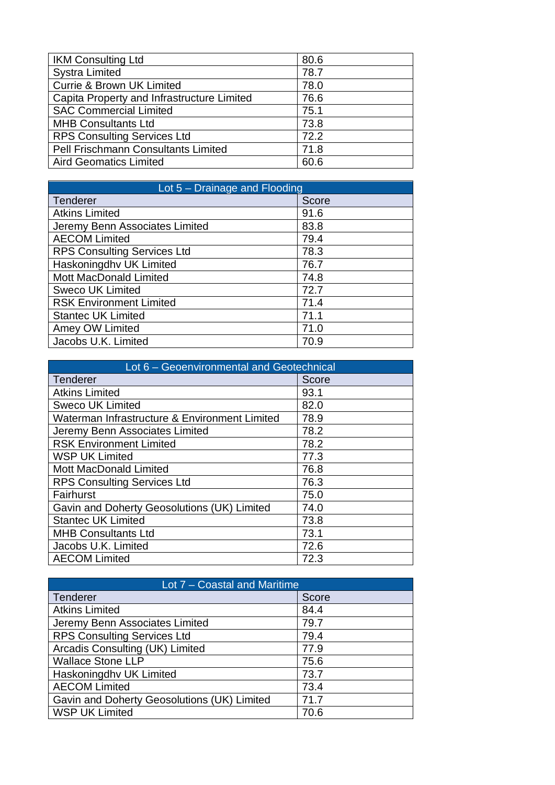| <b>IKM Consulting Ltd</b>                  | 80.6 |
|--------------------------------------------|------|
| <b>Systra Limited</b>                      | 78.7 |
| <b>Currie &amp; Brown UK Limited</b>       | 78.0 |
| Capita Property and Infrastructure Limited | 76.6 |
| <b>SAC Commercial Limited</b>              | 75.1 |
| <b>MHB Consultants Ltd</b>                 | 73.8 |
| <b>RPS Consulting Services Ltd</b>         | 72.2 |
| <b>Pell Frischmann Consultants Limited</b> | 71.8 |
| <b>Aird Geomatics Limited</b>              | 60.6 |

| Lot $5 -$ Drainage and Flooding    |       |
|------------------------------------|-------|
| Tenderer                           | Score |
| <b>Atkins Limited</b>              | 91.6  |
| Jeremy Benn Associates Limited     | 83.8  |
| <b>AECOM Limited</b>               | 79.4  |
| <b>RPS Consulting Services Ltd</b> | 78.3  |
| Haskoningdhv UK Limited            | 76.7  |
| <b>Mott MacDonald Limited</b>      | 74.8  |
| Sweco UK Limited                   | 72.7  |
| <b>RSK Environment Limited</b>     | 71.4  |
| <b>Stantec UK Limited</b>          | 71.1  |
| Amey OW Limited                    | 71.0  |
| Jacobs U.K. Limited                | 70.9  |

| Lot 6 - Geoenvironmental and Geotechnical     |       |
|-----------------------------------------------|-------|
| Tenderer                                      | Score |
| <b>Atkins Limited</b>                         | 93.1  |
| <b>Sweco UK Limited</b>                       | 82.0  |
| Waterman Infrastructure & Environment Limited | 78.9  |
| Jeremy Benn Associates Limited                | 78.2  |
| <b>RSK Environment Limited</b>                | 78.2  |
| <b>WSP UK Limited</b>                         | 77.3  |
| <b>Mott MacDonald Limited</b>                 | 76.8  |
| <b>RPS Consulting Services Ltd</b>            | 76.3  |
| Fairhurst                                     | 75.0  |
| Gavin and Doherty Geosolutions (UK) Limited   | 74.0  |
| <b>Stantec UK Limited</b>                     | 73.8  |
| <b>MHB Consultants Ltd</b>                    | 73.1  |
| Jacobs U.K. Limited                           | 72.6  |
| <b>AECOM Limited</b>                          | 72.3  |

| Lot 7 – Coastal and Maritime                |       |
|---------------------------------------------|-------|
| Tenderer                                    | Score |
| <b>Atkins Limited</b>                       | 84.4  |
| Jeremy Benn Associates Limited              | 79.7  |
| <b>RPS Consulting Services Ltd</b>          | 79.4  |
| Arcadis Consulting (UK) Limited             | 77.9  |
| <b>Wallace Stone LLP</b>                    | 75.6  |
| Haskoningdhy UK Limited                     | 73.7  |
| <b>AECOM Limited</b>                        | 73.4  |
| Gavin and Doherty Geosolutions (UK) Limited | 71.7  |
| <b>WSP UK Limited</b>                       | 70.6  |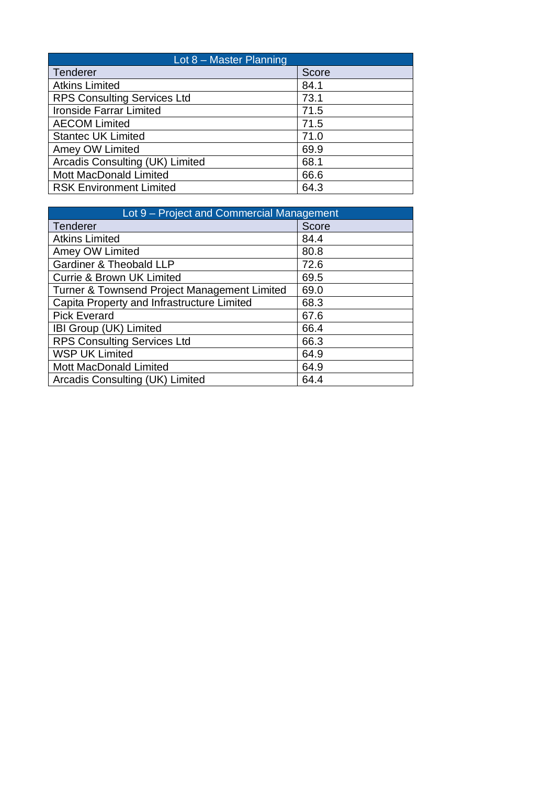| Lot $8$ – Master Planning          |              |
|------------------------------------|--------------|
| Tenderer                           | <b>Score</b> |
| <b>Atkins Limited</b>              | 84.1         |
| <b>RPS Consulting Services Ltd</b> | 73.1         |
| <b>Ironside Farrar Limited</b>     | 71.5         |
| <b>AECOM Limited</b>               | 71.5         |
| <b>Stantec UK Limited</b>          | 71.0         |
| Amey OW Limited                    | 69.9         |
| Arcadis Consulting (UK) Limited    | 68.1         |
| <b>Mott MacDonald Limited</b>      | 66.6         |
| <b>RSK Environment Limited</b>     | 64.3         |

| Lot 9 – Project and Commercial Management    |       |
|----------------------------------------------|-------|
| <b>Tenderer</b>                              | Score |
| <b>Atkins Limited</b>                        | 84.4  |
| Amey OW Limited                              | 80.8  |
| <b>Gardiner &amp; Theobald LLP</b>           | 72.6  |
| <b>Currie &amp; Brown UK Limited</b>         | 69.5  |
| Turner & Townsend Project Management Limited | 69.0  |
| Capita Property and Infrastructure Limited   | 68.3  |
| <b>Pick Everard</b>                          | 67.6  |
| IBI Group (UK) Limited                       | 66.4  |
| <b>RPS Consulting Services Ltd</b>           | 66.3  |
| <b>WSP UK Limited</b>                        | 64.9  |
| <b>Mott MacDonald Limited</b>                | 64.9  |
| Arcadis Consulting (UK) Limited              | 64.4  |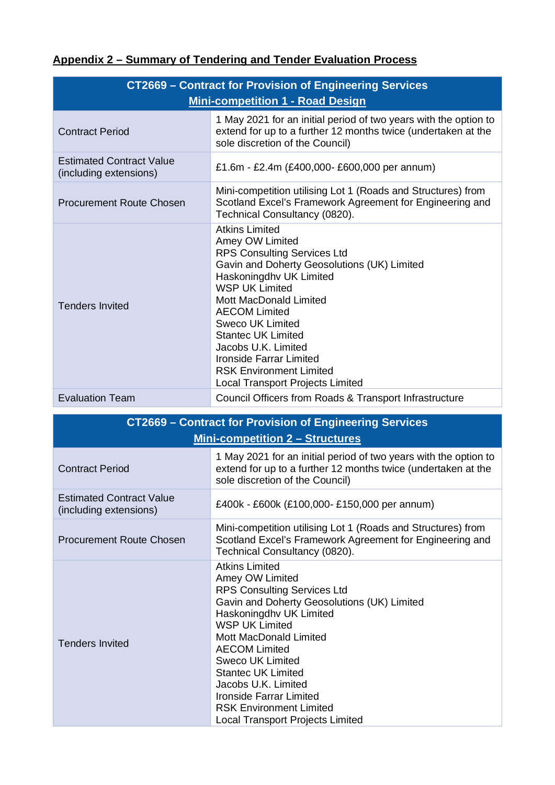# **Appendix 2 – Summary of Tendering and Tender Evaluation Process**

| CT2669 - Contract for Provision of Engineering Services<br><b>Mini-competition 1 - Road Design</b> |                                                                                                                                                                                                                                                                                                                                                                                                                            |
|----------------------------------------------------------------------------------------------------|----------------------------------------------------------------------------------------------------------------------------------------------------------------------------------------------------------------------------------------------------------------------------------------------------------------------------------------------------------------------------------------------------------------------------|
| <b>Contract Period</b>                                                                             | 1 May 2021 for an initial period of two years with the option to<br>extend for up to a further 12 months twice (undertaken at the<br>sole discretion of the Council)                                                                                                                                                                                                                                                       |
| <b>Estimated Contract Value</b><br>(including extensions)                                          | £1.6m - £2.4m (£400,000- £600,000 per annum)                                                                                                                                                                                                                                                                                                                                                                               |
| <b>Procurement Route Chosen</b>                                                                    | Mini-competition utilising Lot 1 (Roads and Structures) from<br>Scotland Excel's Framework Agreement for Engineering and<br>Technical Consultancy (0820).                                                                                                                                                                                                                                                                  |
| <b>Tenders Invited</b>                                                                             | <b>Atkins Limited</b><br>Amey OW Limited<br><b>RPS Consulting Services Ltd</b><br>Gavin and Doherty Geosolutions (UK) Limited<br>Haskoningdhy UK Limited<br><b>WSP UK Limited</b><br><b>Mott MacDonald Limited</b><br><b>AECOM Limited</b><br>Sweco UK Limited<br><b>Stantec UK Limited</b><br>Jacobs U.K. Limited<br><b>Ironside Farrar Limited</b><br><b>RSK Environment Limited</b><br>Local Transport Projects Limited |
| <b>Evaluation Team</b>                                                                             | Council Officers from Roads & Transport Infrastructure                                                                                                                                                                                                                                                                                                                                                                     |

| CT2669 - Contract for Provision of Engineering Services   |                                                                                                                                                                                                                                                                                                                                                                                                                     |
|-----------------------------------------------------------|---------------------------------------------------------------------------------------------------------------------------------------------------------------------------------------------------------------------------------------------------------------------------------------------------------------------------------------------------------------------------------------------------------------------|
| <b>Mini-competition 2 – Structures</b>                    |                                                                                                                                                                                                                                                                                                                                                                                                                     |
| <b>Contract Period</b>                                    | 1 May 2021 for an initial period of two years with the option to<br>extend for up to a further 12 months twice (undertaken at the<br>sole discretion of the Council)                                                                                                                                                                                                                                                |
| <b>Estimated Contract Value</b><br>(including extensions) | £400k - £600k (£100,000 - £150,000 per annum)                                                                                                                                                                                                                                                                                                                                                                       |
| <b>Procurement Route Chosen</b>                           | Mini-competition utilising Lot 1 (Roads and Structures) from<br>Scotland Excel's Framework Agreement for Engineering and<br>Technical Consultancy (0820).                                                                                                                                                                                                                                                           |
| <b>Tenders Invited</b>                                    | <b>Atkins Limited</b><br>Amey OW Limited<br><b>RPS Consulting Services Ltd</b><br>Gavin and Doherty Geosolutions (UK) Limited<br>Haskoningdhy UK Limited<br><b>WSP UK Limited</b><br><b>Mott MacDonald Limited</b><br><b>AECOM Limited</b><br>Sweco UK Limited<br><b>Stantec UK Limited</b><br>Jacobs U.K. Limited<br>Ironside Farrar Limited<br><b>RSK Environment Limited</b><br>Local Transport Projects Limited |